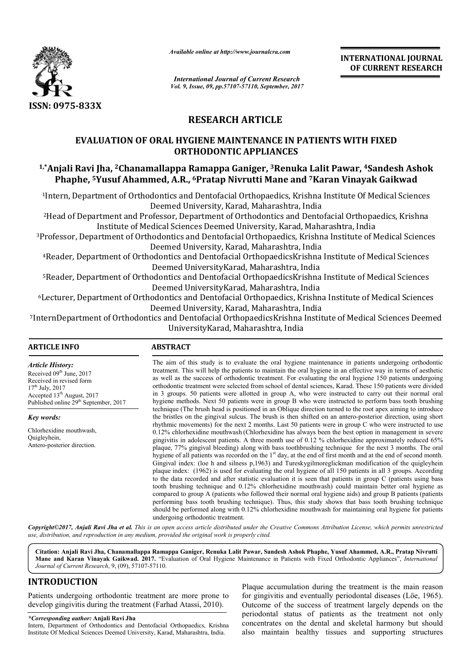

*Available online at http://www.journal*

*International Journal of Current Research Vol. 9, Issue, 09, pp.57107-57110, September, 2017* **INTERNATIONAL JOURNAL OF CURRENT RESEARCH** 

# **RESEARCH ARTICLE**

## **EVALUATION OF ORAL HYGIENE MAINTENANCE IN PATIENTS WITH FIXED ORTHODONTIC APPLIANCES**

# <sup>1,</sup>\*Anjali Ravi Jha, <sup>2</sup>Chanamallappa Ramappa Ganiger, <sup>3</sup>Renuka Lalit Pawar, <sup>4</sup>Sandesh Ashok Phaphe, <sup>5</sup>Yusuf Ahammed, A.R., <sup>6</sup>Pratap Nivrutti Mane and <sup>7</sup>Karan Vinayak Gaikwad

1Intern, Department of Orthodontics and Dentofacial Orthopaedics, Krishna Institute Of Medical Sciences Deemed University, Karad, Maharashtra, India Intern, Department of Orthodontics and Dentofacial Orthopaedics, Krishna Institute Of Medical Sciences!<br>Deemed University, Karad, Maharashtra, India<br>Head of Department and Professor, Department of Orthodontics and Dentofac Intern, Department of Orthodontics and Dentofacial Orthopaedics, Krishna Institute Of Medical Sciences<br>Deemed University, Karad, Maharashtra, India<br>Head of Department and Professor, Department of Orthodontics and Dentofaci

Institute of Medical Sciences Deemed University, Karad, Maharashtra, India

3Professor, Department of Orthodontics and Dentofacial Orthopaedics, Krishna Institute Deemed University, Karad, Maharashtra, India Institute of Medical Sciences Deemed University, Karad, Mah<br>Professor, Department of Orthodontics and Dentofacial Orthopaedics, Krishr<br>Deemed University, Karad, Maharashtra, India

<sup>4</sup>Reader, Department of Orthodontics and Dentofacial OrthopaedicsKrishna Institute of Medical Sciences Deemed University UniversityKarad, Maharashtra, India

<sup>5</sup>Reader, Department of Orthodontics and Dentofacial OrthopaedicsKrishna Institute of Medical Sciences Deemed University UniversityKarad, Maharashtra, India

<sup>6</sup>Lecturer, Department of Orthodontics and Dentofacial Orthopaedics, Krishna Institute of Medical Sciences Deemed University, Karad, Maharashtra, India <sup>6</sup>Lecturer, Department of Orthodontics and Dentofacial Orthopaedics, Krishna Institute of Medical Sciences<br>Deemed University, Karad, Maharashtra, India<br>InternDepartment of Orthodontics and Dentofacial OrthopaedicsKrishna

University UniversityKarad, Maharashtra, India

#### **ARTICLE INFO ABSTRACT**

*Article History:* Received 09<sup>th</sup> June, 2017 Received in revised form  $17^{th}$  July,  $2017$ Accepted 13<sup>th</sup> August, 2017 Published online 29<sup>th</sup> September, 2017

*Key words:*

Chlorhexidine mouthwash, Quigleyhein, Antero-posterior direction.

The aim of this study is to evaluate the oral hygiene maintenance in patients undergoing orthodontic treatment. This will help the patients to maintain the oral hygiene in an effective way in terms of aesthetic as well as the success of orthodontic treatment. For evaluating the oral hygiene 150 patients undergoing orthodontic treatment were selected from school of dental sciences, Karad. These 150 patients were divided The aim of this study is to evaluate the oral hygiene maintenance in patients undergoing orthodontic treatment. This will help the patients to maintain the oral hygiene in an effective way in terms of aesthetic as well as hygiene methods. Next 50 patients were in group B who were instructed to perform bass tooth brushing technique (The brush head is positioned in an Oblique direction turned to the root apex aiming to introduce the bristles on the gingival sulcus. The brush is then shifted on an antero rhythmic movements movements) for the next 2 months. Last 50 patients were in group C who were instructed to use rhythmic movements) for the next 2 months. Last 50 patients were in group C who were instructed to use 0.12% chlorhexidine mouthwash (Chlorhexidine has always been the best option in management in severe gingivitis in adolescent patients. A three month use of 0.12 % chlorhexidine approximately reduced 65% plaque, 77% gingival bleeding) along with bass toothbrushing technique for the next 3 months. The oral hygiene of all patients was recorded on the 1<sup>st</sup> day, at the end of first month and at the end of second month. Gingival index: (loe h and silness p,1963) and Tureskygilmoreglick plaque index: (1962) is used for evaluating the oral hygiene of all 150 patients in all 3 groups. According to the data recorded and after statistic evaluation it is seen that patients in group C (patients using bass tooth brushing technique and 0.12% chlorhexidine mouthwash) could maintain better oral hygiene as compare compared to group A (patients who followed their normal oral hygiene aids) and group B patients (patients performing bass tooth brushing technique). Thus, this study shows that bass tooth brushing technique plaque index: (1962) is used for evaluating the oral hygiene of all 150 patients in all 3 groups. According to the data recorded and after statistic evaluation it is seen that patients in group C (patients using bass tooth undergoing orthodontic treatment. Available online at http://www.journalcra.com<br>
International Journal of Current Resea<br>
Vol. 9, Issue, 09, pp.57107-57110, September,<br>
Vol. 9, Issue, 09, pp.57107-57110, September,<br> **RESEARCH ARTICLE**<br> **CREMENT CONTIFORANCE** Next 50 patients were in group B who were instructed to perform bass tooth brushing<br>ish head is positioned in an Oblique direction turned to the root apex aiming to introduce<br>gingival sulcus. The brush is then shifted on a is in adolescent patients. A three month use of 0.12 % chlorhexidine approximately reduced 65% 77% gingival bleeding) along with bass toothbrushing technique for the next 3 months. The oral of all patients was recorded on mental of the transformation of the transformation of the transformation of the transformation, the success of transformation of the transformation of the transformation of the transformation of the transformation of the t

*Copyright©2017, Anjali Ravi Jha et al. This is an open access article distributed under the Creative Commons Att Attribution License, which ribution License, permits unrestricted use, distribution, and reproduction in any medium, provided the original work is properly cited.*

Citation: Anjali Ravi Jha, Chanamallappa Ramappa Ganiger, Renuka Lalit Pawar, Sandesh Ashok Phaphe, Yusuf Ahammed, A.R., Pratap Nivrutti Mane and Karan Vinayak Gaikwad. 2017. "Evaluation of Oral Hygiene Maintenance in Patients with Fixed Orthodontic Appliances", *International Journal of Current Research*, 9, (09), 57107-57110.

# **INTRODUCTION**

Patients undergoing orthodontic treatment are more prone to develop gingivitis during the treatment (Farhad Atassi, 2010).

## *\*Corresponding author:* **Anjali Ravi Jha**

Intern, Department of Orthodontics and Dentofacial Orthopaedics, Krishna Institute Of Medical Sciences Deemed University, Karad, Maharashtra, India.

Plaque accumulation during the treatment is the main reason<br>
is orthodontic treatment are more prone to<br>
integral of prigivitis and eventually periodontal diseases (Löe, 1965).<br> **Anjali Ravi Jha**<br> **Anjali Ravi Jha**<br>
Drihod Plaque accumulation during the treatment is the main reason for gingivitis and eventually periodontal diseases (Löe, 1965). Outcome of the success of treatment largely depends on the periodontal status of patients as the treatment not only concentrates on the dental and skeletal harmony but should also maintain healthy tissues and supporting structures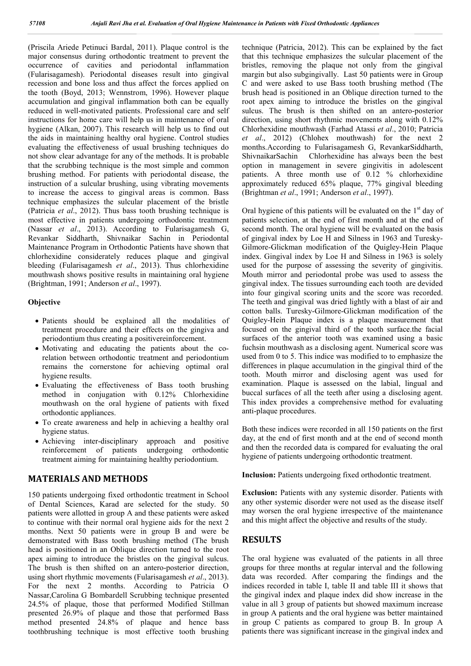(Priscila Ariede Petinuci Bardal, 2011). Plaque control is the major consensus during orthodontic treatment to prevent the occurrence of cavities and periodontal inflammation (Fularisagamesh). Periodontal diseases result into gingival recession and bone loss and thus affect the forces applied on the tooth (Boyd, 2013; Wennstrom, 1996). However plaque accumulation and gingival inflammation both can be equally reduced in well-motivated patients. Professional care and self instructions for home care will help us in maintenance of oral hygiene (Alkan, 2007). This research will help us to find out the aids in maintaining healthy oral hygiene. Control studies evaluating the effectiveness of usual brushing techniques do not show clear advantage for any of the methods. It is probable that the scrubbing technique is the most simple and common brushing method. For patients with periodontal disease, the instruction of a sulcular brushing, using vibrating movements to increase the access to gingival areas is common. Bass technique emphasizes the sulcular placement of the bristle (Patricia *et al*., 2012). Thus bass tooth brushing technique is most effective in patients undergoing orthodontic treatment (Nassar *et al*., 2013). According to Fularisagamesh G, Revankar Siddharth, Shivnaikar Sachin in Periodontal Maintenance Program in Orthodontic Patients have shown that chlorhexidine considerately reduces plaque and gingival bleeding (Fularisagamesh *et al*., 2013). Thus chlorhexidine mouthwash shows positive results in maintaining oral hygiene (Brightman, 1991; Anderson *et al*., 1997).

#### **Objective**

- Patients should be explained all the modalities of treatment procedure and their effects on the gingiva and periodontium thus creating a positivereinforcement.
- Motivating and educating the patients about the corelation between orthodontic treatment and periodontium remains the cornerstone for achieving optimal oral hygiene results.
- Evaluating the effectiveness of Bass tooth brushing method in conjugation with 0.12% Chlorhexidine mouthwash on the oral hygiene of patients with fixed orthodontic appliances.
- To create awareness and help in achieving a healthy oral hygiene status.
- Achieving inter-disciplinary approach and positive reinforcement of patients undergoing orthodontic treatment aiming for maintaining healthy periodontium.

#### **MATERIALS AND METHODS**

150 patients undergoing fixed orthodontic treatment in School of Dental Sciences, Karad are selected for the study. 50 patients were allotted in group A and these patients were asked to continue with their normal oral hygiene aids for the next 2 months. Next 50 patients were in group B and were be demonstrated with Bass tooth brushing method (The brush head is positioned in an Oblique direction turned to the root apex aiming to introduce the bristles on the gingival sulcus. The brush is then shifted on an antero-posterior direction, using short rhythmic movements (Fularisagamesh *et al*., 2013). For the next 2 months. According to Patricia O Nassar,Carolina G Bombardell Scrubbing technique presented 24.5% of plaque, those that performed Modified Stillman presented 26.9% of plaque and those that performed Bass method presented 24.8% of plaque and hence bass toothbrushing technique is most effective tooth brushing

technique (Patricia, 2012). This can be explained by the fact that this technique emphasizes the sulcular placement of the bristles, removing the plaque not only from the gingival margin but also subgingivally. Last 50 patients were in Group C and were asked to use Bass tooth brushing method (The brush head is positioned in an Oblique direction turned to the root apex aiming to introduce the bristles on the gingival sulcus. The brush is then shifted on an antero-posterior direction, using short rhythmic movements along with 0.12% Chlorhexidine mouthwash (Farhad Atassi *et al*., 2010; Patricia *et al*., 2012) (Chlohex mouthwash) for the next 2 months.According to Fularisagamesh G, RevankarSiddharth, ShivnaikarSachin Chlorhexidine has always been the best option in management in severe gingivitis in adolescent patients. A three month use of 0.12 % chlorhexidine approximately reduced 65% plaque, 77% gingival bleeding (Brightman *et al*., 1991; Anderson *et al*., 1997).

Oral hygiene of this patients will be evaluated on the  $1<sup>st</sup>$  day of patients selection, at the end of first month and at the end of second month. The oral hygiene will be evaluated on the basis of gingival index by Loe H and Silness in 1963 and Turesky-Gilmore-Glickman modification of the Quigley-Hein Plaque index. Gingival index by Loe H and Silness in 1963 is solely used for the purpose of assessing the severity of gingivitis. Mouth mirror and periodontal probe was used to assess the gingival index. The tissues surrounding each tooth are devided into four gingival scoring units and the score was recorded. The teeth and gingival was dried lightly with a blast of air and cotton balls. Turesky-Gilmore-Glickman modification of the Quigley-Hein Plaque index is a plaque measurement that focused on the gingival third of the tooth surface.the facial surfaces of the anterior tooth was examined using a basic fuchsin mouthwash as a disclosing agent. Numerical score was used from 0 to 5. This indice was modified to to emphasize the differences in plaque accumulation in the gingival third of the tooth. Mouth mirror and disclosing agent was used for examination. Plaque is assessed on the labial, lingual and buccal surfaces of all the teeth after using a disclosing agent. This index provides a comprehensive method for evaluating anti-plaque procedures.

Both these indices were recorded in all 150 patients on the first day, at the end of first month and at the end of second month and then the recorded data is compared for evaluating the oral hygiene of patients undergoing orthodontic treatment.

**Inclusion:** Patients undergoing fixed orthodontic treatment.

**Exclusion:** Patients with any systemic disorder. Patients with any other systemic disorder were not used as the disease itself may worsen the oral hygiene irrespective of the maintenance and this might affect the objective and results of the study.

## **RESULTS**

The oral hygiene was evaluated of the patients in all three groups for three months at regular interval and the following data was recorded. After comparing the findings and the indices recorded in table I, table II and table III it shows that the gingival index and plaque index did show increase in the value in all 3 group of patients but showed maximum increase in group A patients and the oral hygiene was better maintained in group C patients as compared to group B. In group A patients there was significant increase in the gingival index and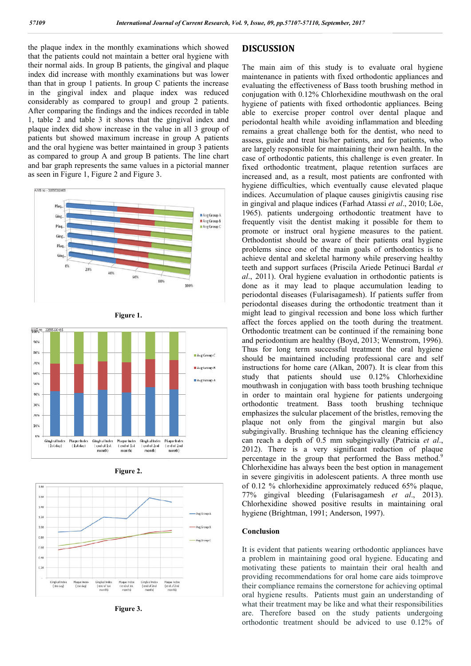the plaque index in the monthly examinations which showed that the patients could not maintain a better oral hygiene with their normal aids. In group B patients, the gingival and plaque index did increase with monthly examinations but was lower than that in group 1 patients. In group C patients the increase in the gingival index and plaque index was reduced considerably as compared to group1 and group 2 patients. After comparing the findings and the indices recorded in table 1, table 2 and table 3 it shows that the gingival index and plaque index did show increase in the value in all 3 group of patients but showed maximum increase in group A patients and the oral hygiene was better maintained in group 3 patients as compared to group A and group B patients. The line chart and bar graph represents the same values in a pictorial manner as seen in Figure 1, Figure 2 and Figure 3.









**Figure 3.**

### **DISCUSSION**

The main aim of this study is to evaluate oral hygiene The main aim of this study is to evaluate oral hygiene maintenance in patients with fixed orthodontic appliances and evaluating the effectiveness of Bass tooth brushing method in evaluating the effectiveness of Bass tooth brushing method in conjugation with 0.12% Chlorhexidine mouthwash on the oral hygiene of patients with fixed orthodontic appliances. Being able to exercise proper control over dental plaque and periodontal health while avoiding inflammation and bleeding remains a great challenge both for the dentist, who need to assess, guide and treat his/her patients, and for patients, who are largely responsible for maintaining their own health. In the case of orthodontic patients, this challenge is even greater. In fixed orthodontic treatment, plaque retention surfaces are increased and, as a result, most patients are confronted with able to exercise proper control over dental plaque and periodontal health while avoiding inflammation and bleeding remains a great challenge both for the dentist, who need to assess, guide and treat his/her patients, and f indices. Accumulation of plaque causes ginigivtis causing rise indices. Accumulation of plaque causes ginigivtis causing rise in gingival and plaque indices (Farhad Atassi *et al.*, 2010; Löe, 1965). patients undergoing orthodontic treatment have to 1965). patients undergoing orthodontic treatment have to frequently visit the dentist making it possible for them to promote or instruct oral hygiene measures to the patient. Orthodontist should be aware of their patients oral hygiene problems since one of the main goals of orthodontics is to achieve dental and skeletal harmony while preserving healthy teeth and support surfaces (Priscila Ariede Petinuci Bardal *al.*, 2011). Oral hygiene evaluation in orthodontic patients is done as it may lead to plaque accumulation leading to periodontal diseases (Fularisagamesh). If patients suffer from done as it may lead to plaque accumulation leading to periodontal diseases (Fularisagamesh periodontal diseases during the orthodontic treatment than it might lead to gingival recession and bone loss which further affect the forces applied on the tooth during the treatment. Orthodontic treatment can be continued if the remaining bone and periodontium are healthy (Boyd, 2013; Wennstrom, 1996) Thus for long term successful treatment the oral hygiene should be maintained including professional care and self instructions for home care (Alkan, 2007). It is clear from this study that patients should use 0.12% Chlorhexidine mouthwash in conjugation with bass tooth brushing technique in order to maintain oral hygiene for patients undergoing orthodontic treatment. Bass tooth brushing technique emphasizes the sulcular placement of the bristles, removing the plaque not only from the gingival margin but also subgingivally. Brushing technique has the cleaning efficiency can reach a depth of 0.5 mm subgingivally (Patricia et al., 2012). There is a very significant reduction of plaque 2012). There is a very significant reduction of plaque percentage in the group that performed the Bass method.<sup>9</sup> Chlorhexidine has always been the best option in management in severe gingivitis in adolescent patients. A three month use of 0.12 % chlorhexidine approximately reduced 65% plaque, 77% gingival bleeding (Fularisagamesh *et* in severe gingivitis in adolescent patients. A three month use of 0.12 % chlorhexidine approximately reduced 65% plaque, 77% gingival bleeding (Fularisagamesh *et al.*, 2013). Chlorhexidine showed positive results in maintaining oral hygiene (Brightman, 1991; Anderson, 1997). hygiene (Brightman, 1991; Anderson, 1997) instruct oral hygiene measures to the patient.<br>should be aware of their patients oral hygiene<br>ce one of the main goals of orthodontics is to<br>1 and skeletal harmony while preserving healthy<br>port surfaces (Priscila Ariede Pe ontal diseases during the orthodontic treatment than it lead to gingival recession and bone loss which further the forces applied on the tooth during the treatment. lontic treatment can be continued if the remaining bone r Thus for long term successful treatment the oral hygiene should be maintained including professional care and self instructions for home care (Alkan, 2007). It is clear from this mouthwash in conjugation with bass tooth brushing technique in order to maintain oral hygiene for patients undergoing orthodontic treatment. Bass tooth brushing technique emphasizes the sulcular placement of the bristles, 57110, September, 2017<br>
(h) state or all hygiene einsits with fixed orthodontic appliances and<br>
citiveness of Bass totol bruching meltod in<br>
1.2% Chlorhexidine mouthwash on the oral<br>
1.2% Chlorhexidine mouthwash on the ora

#### **Conclusion**

It is evident that patients wearing orthodontic appliances have a problem in maintaining good oral hygiene. Educating and motivating these patients to maintain their oral health and providing recommendations for oral home care aids toimprove their compliance remains the cornerstone for achieving optimal oral hygiene results. Patients must gain an understanding of what their treatment may be like and what their responsibilities are. Therefore based on the study patients undergoing orthodontic treatment should be adviced to use 0.12% of